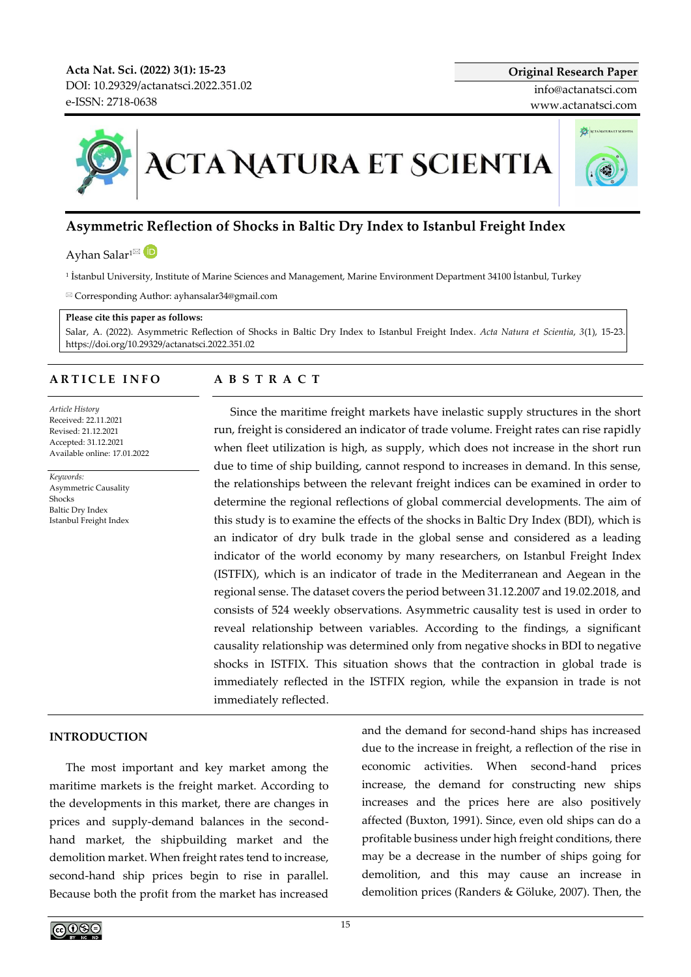**Acta Nat. Sci. (2022) 3(1): 15-23** DOI[: 10.29329/actanatsci.2022.351.02](https://doi.org/10.29329/actanatsci.2022.351.02) e-ISSN: 2718-0638

# **ACTA NATURA ET SCIENTIA**

# **Asymmetric Reflection of Shocks in Baltic Dry Index to Istanbul Freight Index**

Ayhan Salar<sup>1 $\boxtimes$ </sup>

1 İstanbul University, Institute of Marine Sciences and Management, Marine Environment Department 34100 İstanbul, Turkey

Corresponding Author: ayhansalar34@gmail.com

### **Please cite this paper as follows:**

Salar, A. (2022). Asymmetric Reflection of Shocks in Baltic Dry Index to Istanbul Freight Index. *Acta Natura et Scientia*, *3*(1), 15-23. https://doi.org/10.29329/actanatsci.2022.351.02

# **A R T I C L E I N F O**

*Article History* Received: 22.11.2021 Revised: 21.12.2021 Accepted: 31.12.2021 Available online: 17.01.2022

*Keywords:*  Asymmetric Causality Shocks Baltic Dry Index Istanbul Freight Index

# **A B S T R A C T**

Since the maritime freight markets have inelastic supply structures in the short run, freight is considered an indicator of trade volume. Freight rates can rise rapidly when fleet utilization is high, as supply, which does not increase in the short run due to time of ship building, cannot respond to increases in demand. In this sense, the relationships between the relevant freight indices can be examined in order to determine the regional reflections of global commercial developments. The aim of this study is to examine the effects of the shocks in Baltic Dry Index (BDI), which is an indicator of dry bulk trade in the global sense and considered as a leading indicator of the world economy by many researchers, on Istanbul Freight Index (ISTFIX), which is an indicator of trade in the Mediterranean and Aegean in the regional sense. The dataset covers the period between 31.12.2007 and 19.02.2018, and consists of 524 weekly observations. Asymmetric causality test is used in order to reveal relationship between variables. According to the findings, a significant causality relationship was determined only from negative shocks in BDI to negative shocks in ISTFIX. This situation shows that the contraction in global trade is immediately reflected in the ISTFIX region, while the expansion in trade is not immediately reflected.

# **INTRODUCTION**

The most important and key market among the maritime markets is the freight market. According to the developments in this market, there are changes in prices and supply-demand balances in the secondhand market, the shipbuilding market and the demolition market. When freight rates tend to increase, second-hand ship prices begin to rise in parallel. Because both the profit from the market has increased and the demand for second-hand ships has increased due to the increase in freight, a reflection of the rise in economic activities. When second-hand prices increase, the demand for constructing new ships increases and the prices here are also positively affected (Buxton, 1991). Since, even old ships can do a profitable business under high freight conditions, there may be a decrease in the number of ships going for demolition, and this may cause an increase in demolition prices (Randers & Göluke, 2007). Then, the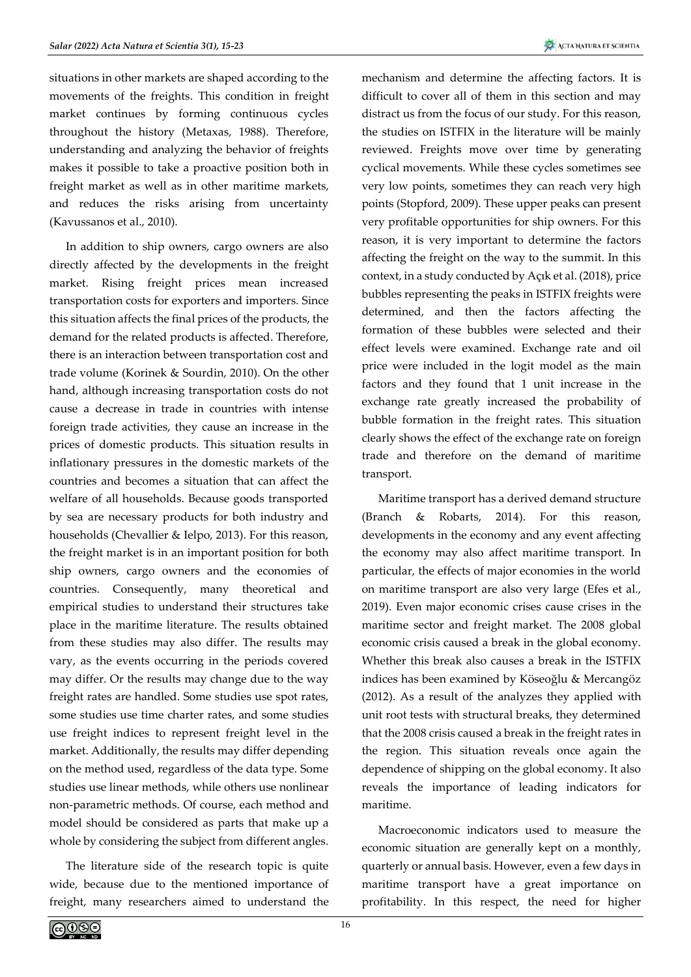situations in other markets are shaped according to the movements of the freights. This condition in freight market continues by forming continuous cycles throughout the history (Metaxas, 1988). Therefore, understanding and analyzing the behavior of freights makes it possible to take a proactive position both in freight market as well as in other maritime markets, and reduces the risks arising from uncertainty (Kavussanos et al., 2010).

In addition to ship owners, cargo owners are also directly affected by the developments in the freight market. Rising freight prices mean increased transportation costs for exporters and importers. Since this situation affects the final prices of the products, the demand for the related products is affected. Therefore, there is an interaction between transportation cost and trade volume (Korinek & Sourdin, 2010). On the other hand, although increasing transportation costs do not cause a decrease in trade in countries with intense foreign trade activities, they cause an increase in the prices of domestic products. This situation results in inflationary pressures in the domestic markets of the countries and becomes a situation that can affect the welfare of all households. Because goods transported by sea are necessary products for both industry and households (Chevallier & Ielpo, 2013). For this reason, the freight market is in an important position for both ship owners, cargo owners and the economies of countries. Consequently, many theoretical and empirical studies to understand their structures take place in the maritime literature. The results obtained from these studies may also differ. The results may vary, as the events occurring in the periods covered may differ. Or the results may change due to the way freight rates are handled. Some studies use spot rates, some studies use time charter rates, and some studies use freight indices to represent freight level in the market. Additionally, the results may differ depending on the method used, regardless of the data type. Some studies use linear methods, while others use nonlinear non-parametric methods. Of course, each method and model should be considered as parts that make up a whole by considering the subject from different angles.

The literature side of the research topic is quite wide, because due to the mentioned importance of freight, many researchers aimed to understand the mechanism and determine the affecting factors. It is difficult to cover all of them in this section and may distract us from the focus of our study. For this reason, the studies on ISTFIX in the literature will be mainly reviewed. Freights move over time by generating cyclical movements. While these cycles sometimes see very low points, sometimes they can reach very high points (Stopford, 2009). These upper peaks can present very profitable opportunities for ship owners. For this reason, it is very important to determine the factors affecting the freight on the way to the summit. In this context, in a study conducted by Açık et al. (2018), price bubbles representing the peaks in ISTFIX freights were determined, and then the factors affecting the formation of these bubbles were selected and their effect levels were examined. Exchange rate and oil price were included in the logit model as the main factors and they found that 1 unit increase in the exchange rate greatly increased the probability of bubble formation in the freight rates. This situation clearly shows the effect of the exchange rate on foreign trade and therefore on the demand of maritime transport.

Maritime transport has a derived demand structure (Branch & Robarts, 2014). For this reason, developments in the economy and any event affecting the economy may also affect maritime transport. In particular, the effects of major economies in the world on maritime transport are also very large (Efes et al., 2019). Even major economic crises cause crises in the maritime sector and freight market. The 2008 global economic crisis caused a break in the global economy. Whether this break also causes a break in the ISTFIX indices has been examined by Köseoğlu & Mercangöz (2012). As a result of the analyzes they applied with unit root tests with structural breaks, they determined that the 2008 crisis caused a break in the freight rates in the region. This situation reveals once again the dependence of shipping on the global economy. It also reveals the importance of leading indicators for maritime.

Macroeconomic indicators used to measure the economic situation are generally kept on a monthly, quarterly or annual basis. However, even a few days in maritime transport have a great importance on profitability. In this respect, the need for higher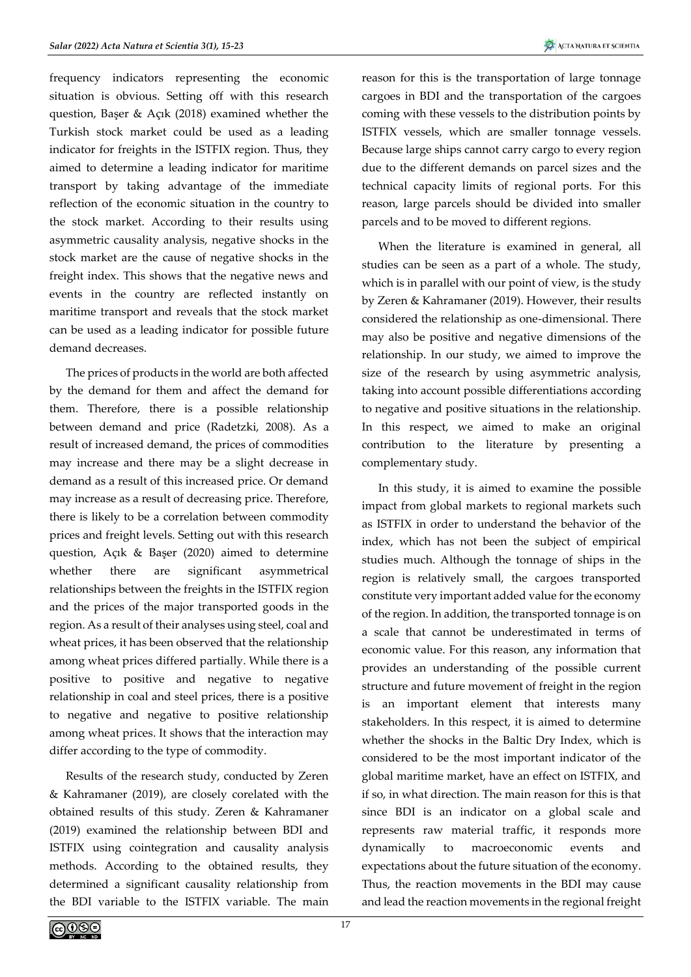frequency indicators representing the economic situation is obvious. Setting off with this research question, Başer & Açık (2018) examined whether the Turkish stock market could be used as a leading indicator for freights in the ISTFIX region. Thus, they aimed to determine a leading indicator for maritime transport by taking advantage of the immediate reflection of the economic situation in the country to the stock market. According to their results using asymmetric causality analysis, negative shocks in the stock market are the cause of negative shocks in the freight index. This shows that the negative news and events in the country are reflected instantly on maritime transport and reveals that the stock market can be used as a leading indicator for possible future demand decreases.

The prices of products in the world are both affected by the demand for them and affect the demand for them. Therefore, there is a possible relationship between demand and price (Radetzki, 2008). As a result of increased demand, the prices of commodities may increase and there may be a slight decrease in demand as a result of this increased price. Or demand may increase as a result of decreasing price. Therefore, there is likely to be a correlation between commodity prices and freight levels. Setting out with this research question, Açık & Başer (2020) aimed to determine whether there are significant asymmetrical relationships between the freights in the ISTFIX region and the prices of the major transported goods in the region. As a result of their analyses using steel, coal and wheat prices, it has been observed that the relationship among wheat prices differed partially. While there is a positive to positive and negative to negative relationship in coal and steel prices, there is a positive to negative and negative to positive relationship among wheat prices. It shows that the interaction may differ according to the type of commodity.

Results of the research study, conducted by Zeren & Kahramaner (2019), are closely corelated with the obtained results of this study. Zeren & Kahramaner (2019) examined the relationship between BDI and ISTFIX using cointegration and causality analysis methods. According to the obtained results, they determined a significant causality relationship from the BDI variable to the ISTFIX variable. The main

reason for this is the transportation of large tonnage cargoes in BDI and the transportation of the cargoes coming with these vessels to the distribution points by ISTFIX vessels, which are smaller tonnage vessels. Because large ships cannot carry cargo to every region due to the different demands on parcel sizes and the technical capacity limits of regional ports. For this reason, large parcels should be divided into smaller parcels and to be moved to different regions.

When the literature is examined in general, all studies can be seen as a part of a whole. The study, which is in parallel with our point of view, is the study by Zeren & Kahramaner (2019). However, their results considered the relationship as one-dimensional. There may also be positive and negative dimensions of the relationship. In our study, we aimed to improve the size of the research by using asymmetric analysis, taking into account possible differentiations according to negative and positive situations in the relationship. In this respect, we aimed to make an original contribution to the literature by presenting a complementary study.

In this study, it is aimed to examine the possible impact from global markets to regional markets such as ISTFIX in order to understand the behavior of the index, which has not been the subject of empirical studies much. Although the tonnage of ships in the region is relatively small, the cargoes transported constitute very important added value for the economy of the region. In addition, the transported tonnage is on a scale that cannot be underestimated in terms of economic value. For this reason, any information that provides an understanding of the possible current structure and future movement of freight in the region is an important element that interests many stakeholders. In this respect, it is aimed to determine whether the shocks in the Baltic Dry Index, which is considered to be the most important indicator of the global maritime market, have an effect on ISTFIX, and if so, in what direction. The main reason for this is that since BDI is an indicator on a global scale and represents raw material traffic, it responds more dynamically to macroeconomic events and expectations about the future situation of the economy. Thus, the reaction movements in the BDI may cause and lead the reaction movements in the regional freight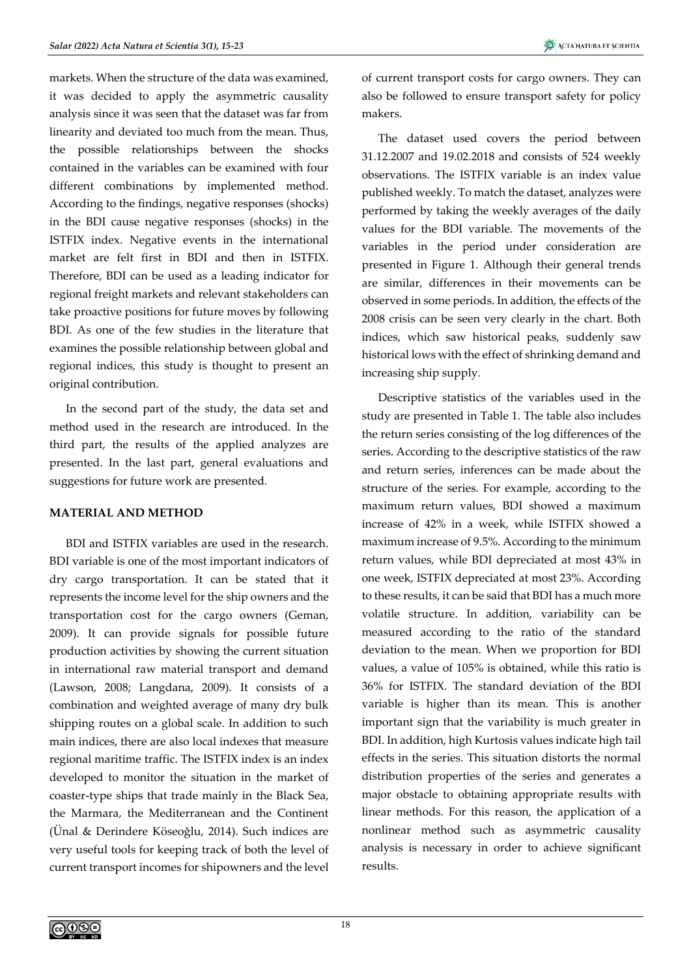markets. When the structure of the data was examined, it was decided to apply the asymmetric causality analysis since it was seen that the dataset was far from linearity and deviated too much from the mean. Thus, the possible relationships between the shocks contained in the variables can be examined with four different combinations by implemented method. According to the findings, negative responses (shocks) in the BDI cause negative responses (shocks) in the ISTFIX index. Negative events in the international market are felt first in BDI and then in ISTFIX. Therefore, BDI can be used as a leading indicator for regional freight markets and relevant stakeholders can take proactive positions for future moves by following BDI. As one of the few studies in the literature that examines the possible relationship between global and regional indices, this study is thought to present an original contribution.

In the second part of the study, the data set and method used in the research are introduced. In the third part, the results of the applied analyzes are presented. In the last part, general evaluations and suggestions for future work are presented.

### **MATERIAL AND METHOD**

BDI and ISTFIX variables are used in the research. BDI variable is one of the most important indicators of dry cargo transportation. It can be stated that it represents the income level for the ship owners and the transportation cost for the cargo owners (Geman, 2009). It can provide signals for possible future production activities by showing the current situation in international raw material transport and demand (Lawson, 2008; Langdana, 2009). It consists of a combination and weighted average of many dry bulk shipping routes on a global scale. In addition to such main indices, there are also local indexes that measure regional maritime traffic. The ISTFIX index is an index developed to monitor the situation in the market of coaster-type ships that trade mainly in the Black Sea, the Marmara, the Mediterranean and the Continent (Ünal & Derindere Köseoğlu, 2014). Such indices are very useful tools for keeping track of both the level of current transport incomes for shipowners and the level of current transport costs for cargo owners. They can also be followed to ensure transport safety for policy makers.

The dataset used covers the period between 31.12.2007 and 19.02.2018 and consists of 524 weekly observations. The ISTFIX variable is an index value published weekly. To match the dataset, analyzes were performed by taking the weekly averages of the daily values for the BDI variable. The movements of the variables in the period under consideration are presented in Figure 1. Although their general trends are similar, differences in their movements can be observed in some periods. In addition, the effects of the 2008 crisis can be seen very clearly in the chart. Both indices, which saw historical peaks, suddenly saw historical lows with the effect of shrinking demand and increasing ship supply.

Descriptive statistics of the variables used in the study are presented in Table 1. The table also includes the return series consisting of the log differences of the series. According to the descriptive statistics of the raw and return series, inferences can be made about the structure of the series. For example, according to the maximum return values, BDI showed a maximum increase of 42% in a week, while ISTFIX showed a maximum increase of 9.5%. According to the minimum return values, while BDI depreciated at most 43% in one week, ISTFIX depreciated at most 23%. According to these results, it can be said that BDI has a much more volatile structure. In addition, variability can be measured according to the ratio of the standard deviation to the mean. When we proportion for BDI values, a value of 105% is obtained, while this ratio is 36% for ISTFIX. The standard deviation of the BDI variable is higher than its mean. This is another important sign that the variability is much greater in BDI. In addition, high Kurtosis values indicate high tail effects in the series. This situation distorts the normal distribution properties of the series and generates a major obstacle to obtaining appropriate results with linear methods. For this reason, the application of a nonlinear method such as asymmetric causality analysis is necessary in order to achieve significant results.

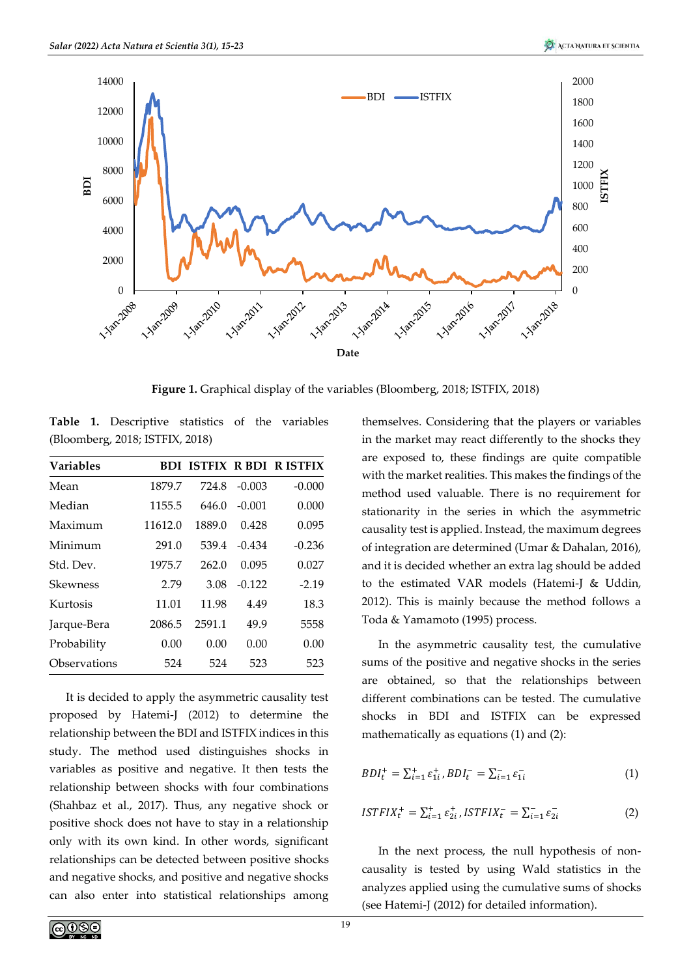

**Figure 1.** Graphical display of the variables (Bloomberg, 2018; ISTFIX, 2018)

**Table 1.** Descriptive statistics of the variables (Bloomberg, 2018; ISTFIX, 2018)

| <b>Variables</b> |         |        |          | <b>BDI ISTFIX R BDI R ISTFIX</b> |
|------------------|---------|--------|----------|----------------------------------|
| Mean             | 1879.7  | 724.8  | $-0.003$ | $-0.000$                         |
| Median           | 1155.5  | 646.0  | $-0.001$ | 0.000                            |
| Maximum          | 11612.0 | 1889.0 | 0.428    | 0.095                            |
| Minimum          | 291.0   | 539.4  | $-0.434$ | $-0.236$                         |
| Std. Dev.        | 1975.7  | 262.0  | 0.095    | 0.027                            |
| Skewness         | 2.79    | 3.08   | $-0.122$ | $-2.19$                          |
| Kurtosis         | 11.01   | 11.98  | 4.49     | 18.3                             |
| Jarque-Bera      | 2086.5  | 2591.1 | 49.9     | 5558                             |
| Probability      | 0.00    | 0.00   | 0.00     | 0.00                             |
| Observations     | 524     | 524    | 523      | 523                              |

It is decided to apply the asymmetric causality test proposed by Hatemi-J (2012) to determine the relationship between the BDI and ISTFIX indices in this study. The method used distinguishes shocks in variables as positive and negative. It then tests the relationship between shocks with four combinations (Shahbaz et al., 2017). Thus, any negative shock or positive shock does not have to stay in a relationship only with its own kind. In other words, significant relationships can be detected between positive shocks and negative shocks, and positive and negative shocks can also enter into statistical relationships among

themselves. Considering that the players or variables in the market may react differently to the shocks they are exposed to, these findings are quite compatible with the market realities. This makes the findings of the method used valuable. There is no requirement for stationarity in the series in which the asymmetric causality test is applied. Instead, the maximum degrees of integration are determined (Umar & Dahalan, 2016), and it is decided whether an extra lag should be added to the estimated VAR models (Hatemi-J & Uddin, 2012). This is mainly because the method follows a Toda & Yamamoto (1995) process.

In the asymmetric causality test, the cumulative sums of the positive and negative shocks in the series are obtained, so that the relationships between different combinations can be tested. The cumulative shocks in BDI and ISTFIX can be expressed mathematically as equations (1) and (2):

$$
BDI_t^+ = \sum_{i=1}^+ \varepsilon_{1i}^+, BDI_t^- = \sum_{i=1}^- \varepsilon_{1i}^- \tag{1}
$$

$$
ISTFIX_t^+ = \sum_{i=1}^+ \varepsilon_{2i}^+, ISTFIX_t^- = \sum_{i=1}^- \varepsilon_{2i}^- \tag{2}
$$

In the next process, the null hypothesis of noncausality is tested by using Wald statistics in the analyzes applied using the cumulative sums of shocks (see Hatemi-J (2012) for detailed information).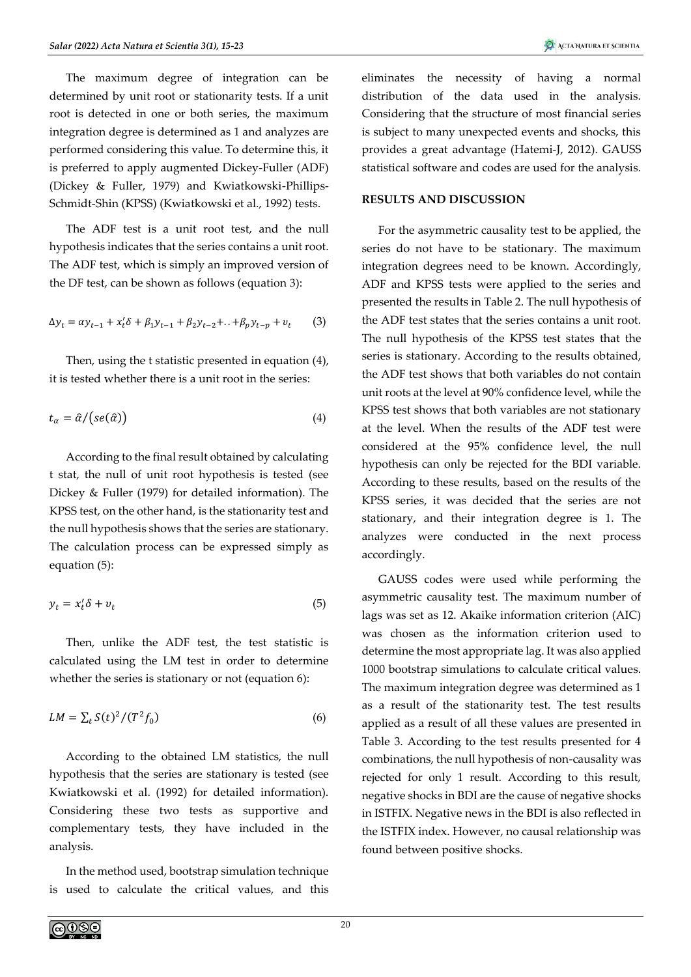The maximum degree of integration can be determined by unit root or stationarity tests. If a unit root is detected in one or both series, the maximum integration degree is determined as 1 and analyzes are performed considering this value. To determine this, it is preferred to apply augmented Dickey-Fuller (ADF) (Dickey & Fuller, 1979) and Kwiatkowski-Phillips-Schmidt-Shin (KPSS) (Kwiatkowski et al., 1992) tests.

The ADF test is a unit root test, and the null hypothesis indicates that the series contains a unit root. The ADF test, which is simply an improved version of the DF test, can be shown as follows (equation 3):

$$
\Delta y_t = \alpha y_{t-1} + x_t' \delta + \beta_1 y_{t-1} + \beta_2 y_{t-2} + ... + \beta_p y_{t-p} + v_t
$$
 (3)

Then, using the t statistic presented in equation (4), it is tested whether there is a unit root in the series:

$$
t_{\alpha} = \hat{\alpha} / (se(\hat{\alpha})) \tag{4}
$$

According to the final result obtained by calculating t stat, the null of unit root hypothesis is tested (see Dickey & Fuller (1979) for detailed information). The KPSS test, on the other hand, is the stationarity test and the null hypothesis shows that the series are stationary. The calculation process can be expressed simply as equation (5):

$$
y_t = x_t' \delta + v_t \tag{5}
$$

Then, unlike the ADF test, the test statistic is calculated using the LM test in order to determine whether the series is stationary or not (equation 6):

$$
LM = \sum_{t} S(t)^2 / (T^2 f_0) \tag{6}
$$

According to the obtained LM statistics, the null hypothesis that the series are stationary is tested (see Kwiatkowski et al. (1992) for detailed information). Considering these two tests as supportive and complementary tests, they have included in the analysis.

In the method used, bootstrap simulation technique is used to calculate the critical values, and this eliminates the necessity of having a normal distribution of the data used in the analysis. Considering that the structure of most financial series is subject to many unexpected events and shocks, this provides a great advantage (Hatemi-J, 2012). GAUSS statistical software and codes are used for the analysis.

### **RESULTS AND DISCUSSION**

For the asymmetric causality test to be applied, the series do not have to be stationary. The maximum integration degrees need to be known. Accordingly, ADF and KPSS tests were applied to the series and presented the results in Table 2. The null hypothesis of the ADF test states that the series contains a unit root. The null hypothesis of the KPSS test states that the series is stationary. According to the results obtained, the ADF test shows that both variables do not contain unit roots at the level at 90% confidence level, while the KPSS test shows that both variables are not stationary at the level. When the results of the ADF test were considered at the 95% confidence level, the null hypothesis can only be rejected for the BDI variable. According to these results, based on the results of the KPSS series, it was decided that the series are not stationary, and their integration degree is 1. The analyzes were conducted in the next process accordingly.

GAUSS codes were used while performing the asymmetric causality test. The maximum number of lags was set as 12. Akaike information criterion (AIC) was chosen as the information criterion used to determine the most appropriate lag. It was also applied 1000 bootstrap simulations to calculate critical values. The maximum integration degree was determined as 1 as a result of the stationarity test. The test results applied as a result of all these values are presented in Table 3. According to the test results presented for 4 combinations, the null hypothesis of non-causality was rejected for only 1 result. According to this result, negative shocks in BDI are the cause of negative shocks in ISTFIX. Negative news in the BDI is also reflected in the ISTFIX index. However, no causal relationship was found between positive shocks.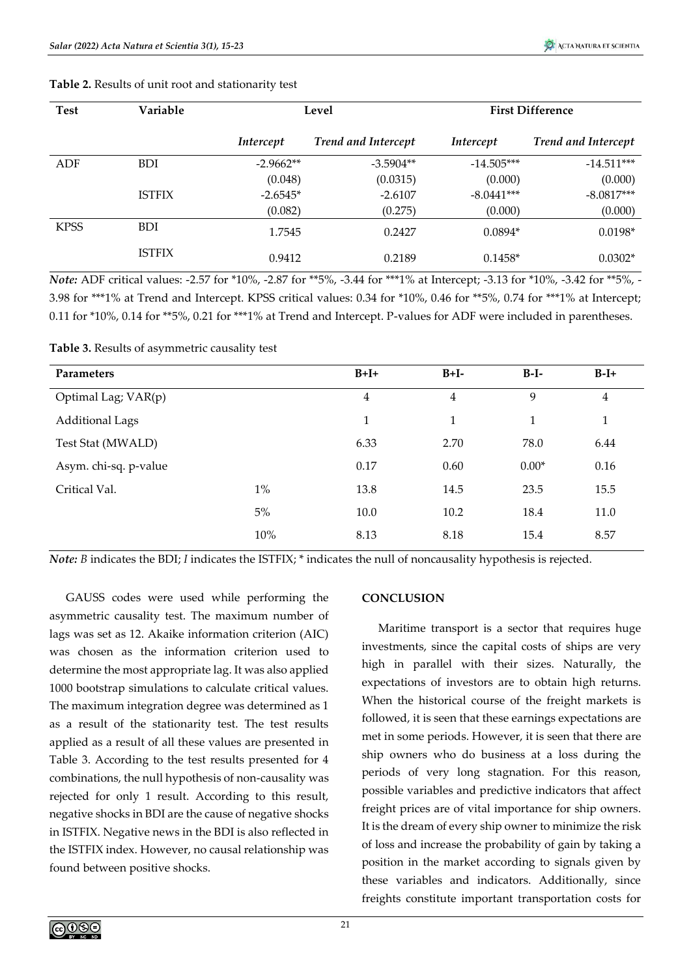| <b>Test</b> | Variable      | Level       |                            | <b>First Difference</b> |                            |  |
|-------------|---------------|-------------|----------------------------|-------------------------|----------------------------|--|
|             |               | Intercept   | <b>Trend and Intercept</b> | Intercept               | <b>Trend and Intercept</b> |  |
| ADF         | <b>BDI</b>    | $-2.9662**$ | $-3.5904**$                | $-14.505***$            | $-14.511***$               |  |
|             |               | (0.048)     | (0.0315)                   | (0.000)                 | (0.000)                    |  |
|             | <b>ISTFIX</b> | $-2.6545*$  | $-2.6107$                  | $-8.0441***$            | $-8.0817***$               |  |
|             |               | (0.082)     | (0.275)                    | (0.000)                 | (0.000)                    |  |
| <b>KPSS</b> | <b>BDI</b>    | 1.7545      | 0.2427                     | $0.0894*$               | $0.0198*$                  |  |
|             | <b>ISTFIX</b> | 0.9412      | 0.2189                     | $0.1458*$               | $0.0302*$                  |  |

**Table 2.** Results of unit root and stationarity test

*Note:* ADF critical values: -2.57 for \*10%, -2.87 for \*\*5%, -3.44 for \*\*\*1% at Intercept; -3.13 for \*10%, -3.42 for \*\*5%, -3.98 for \*\*\*1% at Trend and Intercept. KPSS critical values: 0.34 for \*10%, 0.46 for \*\*5%, 0.74 for \*\*\*1% at Intercept; 0.11 for \*10%, 0.14 for \*\*5%, 0.21 for \*\*\*1% at Trend and Intercept. P-values for ADF were included in parentheses.

|  |  |  | Table 3. Results of asymmetric causality test |
|--|--|--|-----------------------------------------------|
|--|--|--|-----------------------------------------------|

| <b>Parameters</b>      |       | $B+I+$         | $B+I-$         | $B-I-$  | $B-I+$         |
|------------------------|-------|----------------|----------------|---------|----------------|
| Optimal Lag; VAR(p)    |       | $\overline{4}$ | $\overline{4}$ | 9       | $\overline{4}$ |
| <b>Additional Lags</b> |       | 1              | 1              | 1       | 1              |
| Test Stat (MWALD)      |       | 6.33           | 2.70           | 78.0    | 6.44           |
| Asym. chi-sq. p-value  |       | 0.17           | 0.60           | $0.00*$ | 0.16           |
| Critical Val.          | $1\%$ | 13.8           | 14.5           | 23.5    | 15.5           |
|                        | 5%    | 10.0           | 10.2           | 18.4    | 11.0           |
|                        | 10%   | 8.13           | 8.18           | 15.4    | 8.57           |

*Note: B* indicates the BDI; *I* indicates the ISTFIX; \* indicates the null of noncausality hypothesis is rejected.

GAUSS codes were used while performing the asymmetric causality test. The maximum number of lags was set as 12. Akaike information criterion (AIC) was chosen as the information criterion used to determine the most appropriate lag. It was also applied 1000 bootstrap simulations to calculate critical values. The maximum integration degree was determined as 1 as a result of the stationarity test. The test results applied as a result of all these values are presented in Table 3. According to the test results presented for 4 combinations, the null hypothesis of non-causality was rejected for only 1 result. According to this result, negative shocks in BDI are the cause of negative shocks in ISTFIX. Negative news in the BDI is also reflected in the ISTFIX index. However, no causal relationship was found between positive shocks.

### **CONCLUSION**

Maritime transport is a sector that requires huge investments, since the capital costs of ships are very high in parallel with their sizes. Naturally, the expectations of investors are to obtain high returns. When the historical course of the freight markets is followed, it is seen that these earnings expectations are met in some periods. However, it is seen that there are ship owners who do business at a loss during the periods of very long stagnation. For this reason, possible variables and predictive indicators that affect freight prices are of vital importance for ship owners. It is the dream of every ship owner to minimize the risk of loss and increase the probability of gain by taking a position in the market according to signals given by these variables and indicators. Additionally, since freights constitute important transportation costs for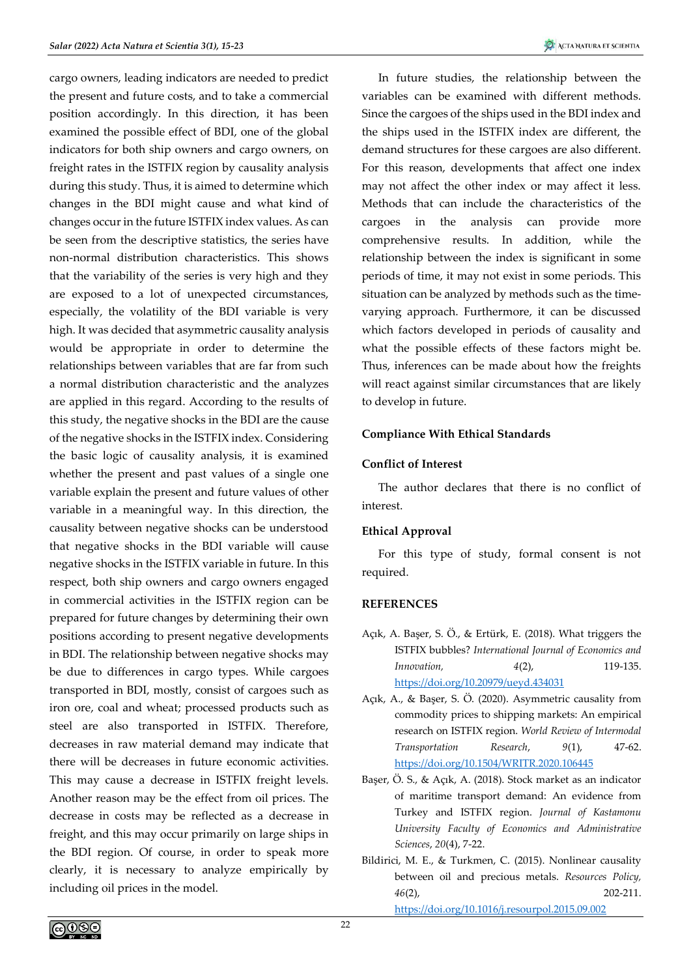cargo owners, leading indicators are needed to predict the present and future costs, and to take a commercial position accordingly. In this direction, it has been examined the possible effect of BDI, one of the global indicators for both ship owners and cargo owners, on freight rates in the ISTFIX region by causality analysis during this study. Thus, it is aimed to determine which changes in the BDI might cause and what kind of changes occur in the future ISTFIX index values. As can be seen from the descriptive statistics, the series have non-normal distribution characteristics. This shows that the variability of the series is very high and they are exposed to a lot of unexpected circumstances, especially, the volatility of the BDI variable is very high. It was decided that asymmetric causality analysis would be appropriate in order to determine the relationships between variables that are far from such a normal distribution characteristic and the analyzes are applied in this regard. According to the results of this study, the negative shocks in the BDI are the cause of the negative shocks in the ISTFIX index. Considering the basic logic of causality analysis, it is examined whether the present and past values of a single one variable explain the present and future values of other variable in a meaningful way. In this direction, the causality between negative shocks can be understood that negative shocks in the BDI variable will cause negative shocks in the ISTFIX variable in future. In this respect, both ship owners and cargo owners engaged in commercial activities in the ISTFIX region can be prepared for future changes by determining their own positions according to present negative developments in BDI. The relationship between negative shocks may be due to differences in cargo types. While cargoes transported in BDI, mostly, consist of cargoes such as iron ore, coal and wheat; processed products such as steel are also transported in ISTFIX. Therefore, decreases in raw material demand may indicate that there will be decreases in future economic activities. This may cause a decrease in ISTFIX freight levels. Another reason may be the effect from oil prices. The decrease in costs may be reflected as a decrease in freight, and this may occur primarily on large ships in the BDI region. Of course, in order to speak more clearly, it is necessary to analyze empirically by including oil prices in the model.

In future studies, the relationship between the variables can be examined with different methods. Since the cargoes of the ships used in the BDI index and the ships used in the ISTFIX index are different, the demand structures for these cargoes are also different. For this reason, developments that affect one index may not affect the other index or may affect it less. Methods that can include the characteristics of the cargoes in the analysis can provide more comprehensive results. In addition, while the relationship between the index is significant in some periods of time, it may not exist in some periods. This situation can be analyzed by methods such as the timevarying approach. Furthermore, it can be discussed which factors developed in periods of causality and what the possible effects of these factors might be. Thus, inferences can be made about how the freights will react against similar circumstances that are likely to develop in future.

# **Compliance With Ethical Standards**

### **Conflict of Interest**

The author declares that there is no conflict of interest.

# **Ethical Approval**

For this type of study, formal consent is not required.

### **REFERENCES**

- Açık, A. Başer, S. Ö., & Ertürk, E. (2018). What triggers the ISTFIX bubbles? *International Journal of Economics and Innovation, 4*(2), 119-135. <https://doi.org/10.20979/ueyd.434031>
- Açık, A., & Başer, S. Ö. (2020). Asymmetric causality from commodity prices to shipping markets: An empirical research on ISTFIX region. *World Review of Intermodal Transportation Research*, *9*(1), 47-62. <https://doi.org/10.1504/WRITR.2020.106445>
- Başer, Ö. S., & Açık, A. (2018). Stock market as an indicator of maritime transport demand: An evidence from Turkey and ISTFIX region. *Journal of Kastamonu University Faculty of Economics and Administrative Sciences*, *20*(4), 7-22.
- Bildirici, M. E., & Turkmen, C. (2015). Nonlinear causality between oil and precious metals. *Resources Policy, 46*(2), 202-211. <https://doi.org/10.1016/j.resourpol.2015.09.002>